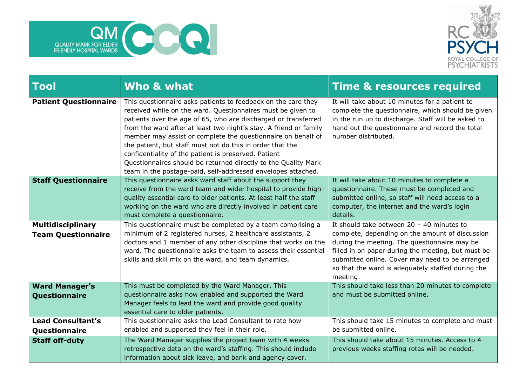



| $\overline{\phantom{a}}$ Tool                         | Who & what                                                                                                                                                                                                                                                                                                                                                                                                                                                                                                                                                                                 | <b>Time &amp; resources required</b>                                                                                                                                                                                                                                                                                     |
|-------------------------------------------------------|--------------------------------------------------------------------------------------------------------------------------------------------------------------------------------------------------------------------------------------------------------------------------------------------------------------------------------------------------------------------------------------------------------------------------------------------------------------------------------------------------------------------------------------------------------------------------------------------|--------------------------------------------------------------------------------------------------------------------------------------------------------------------------------------------------------------------------------------------------------------------------------------------------------------------------|
| <b>Patient Questionnaire</b>                          | This questionnaire asks patients to feedback on the care they<br>received while on the ward. Questionnaires must be given to<br>patients over the age of 65, who are discharged or transferred<br>from the ward after at least two night's stay. A friend or family<br>member may assist or complete the questionnaire on behalf of<br>the patient, but staff must not do this in order that the<br>confidentiality of the patient is preserved. Patient<br>Questionnaires should be returned directly to the Quality Mark<br>team in the postage-paid, self-addressed envelopes attached. | It will take about 10 minutes for a patient to<br>complete the questionnaire, which should be given<br>in the run up to discharge. Staff will be asked to<br>hand out the questionnaire and record the total<br>number distributed.                                                                                      |
| <b>Staff Questionnaire</b>                            | This questionnaire asks ward staff about the support they<br>receive from the ward team and wider hospital to provide high-<br>quality essential care to older patients. At least half the staff<br>working on the ward who are directly involved in patient care<br>must complete a questionnaire.                                                                                                                                                                                                                                                                                        | It will take about 10 minutes to complete a<br>questionnaire. These must be completed and<br>submitted online, so staff will need access to a<br>computer, the internet and the ward's login<br>details.                                                                                                                 |
| <b>Multidisciplinary</b><br><b>Team Questionnaire</b> | This questionnaire must be completed by a team comprising a<br>minimum of 2 registered nurses, 2 healthcare assistants, 2<br>doctors and 1 member of any other discipline that works on the<br>ward. The questionnaire asks the team to assess their essential<br>skills and skill mix on the ward, and team dynamics.                                                                                                                                                                                                                                                                     | It should take between $20 - 40$ minutes to<br>complete, depending on the amount of discussion<br>during the meeting. The questionnaire may be<br>filled in on paper during the meeting, but must be<br>submitted online. Cover may need to be arranged<br>so that the ward is adequately staffed during the<br>meeting. |
| <b>Ward Manager's</b><br>Questionnaire                | This must be completed by the Ward Manager. This<br>questionnaire asks how enabled and supported the Ward<br>Manager feels to lead the ward and provide good quality<br>essential care to older patients.                                                                                                                                                                                                                                                                                                                                                                                  | This should take less than 20 minutes to complete<br>and must be submitted online.                                                                                                                                                                                                                                       |
| <b>Lead Consultant's</b><br>Questionnaire             | This questionnaire asks the Lead Consultant to rate how<br>enabled and supported they feel in their role.                                                                                                                                                                                                                                                                                                                                                                                                                                                                                  | This should take 15 minutes to complete and must<br>be submitted online.                                                                                                                                                                                                                                                 |
| <b>Staff off-duty</b>                                 | The Ward Manager supplies the project team with 4 weeks<br>retrospective data on the ward's staffing. This should include<br>information about sick leave, and bank and agency cover.                                                                                                                                                                                                                                                                                                                                                                                                      | This should take about 15 minutes. Access to 4<br>previous weeks staffing rotas will be needed.                                                                                                                                                                                                                          |